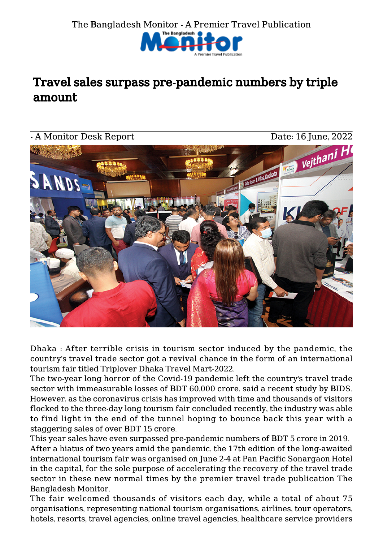

## Travel sales surpass pre-pandemic numbers by triple amount



Dhaka : After terrible crisis in tourism sector induced by the pandemic, the country's travel trade sector got a revival chance in the form of an international tourism fair titled Triplover Dhaka Travel Mart-2022.

The two-year long horror of the Covid-19 pandemic left the country's travel trade sector with immeasurable losses of BDT 60,000 crore, said a recent study by BIDS. However, as the coronavirus crisis has improved with time and thousands of visitors flocked to the three-day long tourism fair concluded recently, the industry was able to find light in the end of the tunnel hoping to bounce back this year with a staggering sales of over BDT 15 crore.

This year sales have even surpassed pre-pandemic numbers of BDT 5 crore in 2019. After a hiatus of two years amid the pandemic, the 17th edition of the long-awaited international tourism fair was organised on June 2-4 at Pan Pacific Sonargaon Hotel in the capital, for the sole purpose of accelerating the recovery of the travel trade sector in these new normal times by the premier travel trade publication The Bangladesh Monitor.

The fair welcomed thousands of visitors each day, while a total of about 75 organisations, representing national tourism organisations, airlines, tour operators, hotels, resorts, travel agencies, online travel agencies, healthcare service providers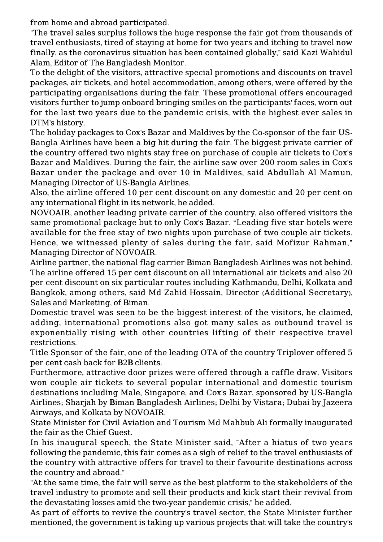from home and abroad participated.

"The travel sales surplus follows the huge response the fair got from thousands of travel enthusiasts, tired of staying at home for two years and itching to travel now finally, as the coronavirus situation has been contained globally," said Kazi Wahidul Alam, Editor of The Bangladesh Monitor.

To the delight of the visitors, attractive special promotions and discounts on travel packages, air tickets, and hotel accommodation, among others, were offered by the participating organisations during the fair. These promotional offers encouraged visitors further to jump onboard bringing smiles on the participants' faces, worn out for the last two years due to the pandemic crisis, with the highest ever sales in DTM's history.

The holiday packages to Cox's Bazar and Maldives by the Co-sponsor of the fair US-Bangla Airlines have been a big hit during the fair. The biggest private carrier of the country offered two nights stay free on purchase of couple air tickets to Cox's Bazar and Maldives. During the fair, the airline saw over 200 room sales in Cox's Bazar under the package and over 10 in Maldives, said Abdullah Al Mamun, Managing Director of US-Bangla Airlines.

Also, the airline offered 10 per cent discount on any domestic and 20 per cent on any international flight in its network, he added.

NOVOAIR, another leading private carrier of the country, also offered visitors the same promotional package but to only Cox's Bazar. "Leading five star hotels were available for the free stay of two nights upon purchase of two couple air tickets. Hence, we witnessed plenty of sales during the fair, said Mofizur Rahman," Managing Director of NOVOAIR.

Airline partner, the national flag carrier Biman Bangladesh Airlines was not behind. The airline offered 15 per cent discount on all international air tickets and also 20 per cent discount on six particular routes including Kathmandu, Delhi, Kolkata and Bangkok, among others, said Md Zahid Hossain, Director (Additional Secretary), Sales and Marketing, of Biman.

Domestic travel was seen to be the biggest interest of the visitors, he claimed, adding, international promotions also got many sales as outbound travel is exponentially rising with other countries lifting of their respective travel restrictions.

Title Sponsor of the fair, one of the leading OTA of the country Triplover offered 5 per cent cash back for B2B clients.

Furthermore, attractive door prizes were offered through a raffle draw. Visitors won couple air tickets to several popular international and domestic tourism destinations including Male, Singapore, and Cox's Bazar, sponsored by US-Bangla Airlines; Sharjah by Biman Bangladesh Airlines; Delhi by Vistara; Dubai by Jazeera Airways, and Kolkata by NOVOAIR.

State Minister for Civil Aviation and Tourism Md Mahbub Ali formally inaugurated the fair as the Chief Guest.

In his inaugural speech, the State Minister said, "After a hiatus of two years following the pandemic, this fair comes as a sigh of relief to the travel enthusiasts of the country with attractive offers for travel to their favourite destinations across the country and abroad."

"At the same time, the fair will serve as the best platform to the stakeholders of the travel industry to promote and sell their products and kick start their revival from the devastating losses amid the two-year pandemic crisis," he added.

As part of efforts to revive the country's travel sector, the State Minister further mentioned, the government is taking up various projects that will take the country's